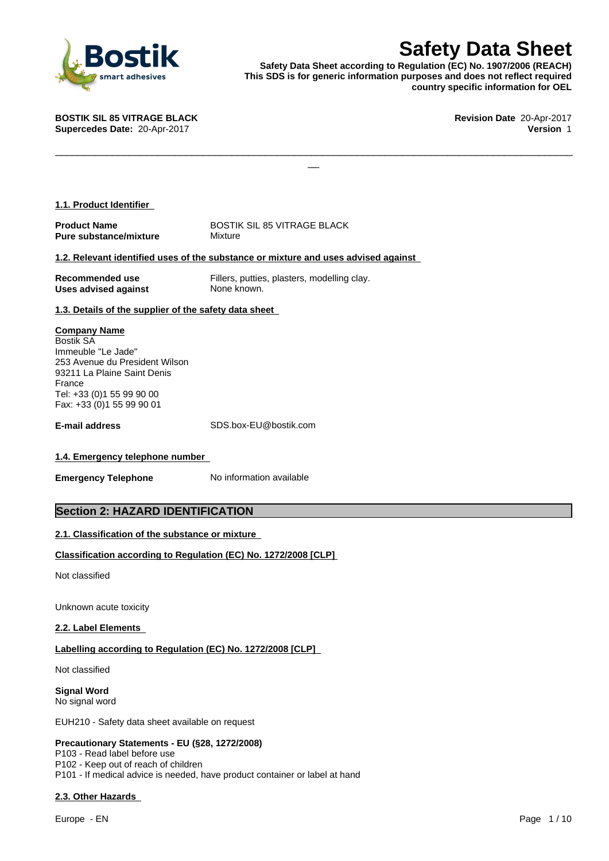

**Safety Data Sheet**<br>
Responsible to Regulation (EC) No. 1907/2006 (REACH)<br>
r generic information purposes and does not reflect required<br>
country specific information for OEL<br>
Revision Date 20-Apr-2017<br>
Version 1 **Safety Data Sheet according to Regulation (EC) No. 1907/2006 (REACH) This SDS is for generic information purposes and does not reflect required country specific information for OEL**

 $\Box$ 

**BOSTIK SIL 85 VITRAGE BLACK Revision Date** 20-Apr-2017 **Supercedes Date:** 20-Apr-2017 **Version** 1

| 1.1. Product Identifier |
|-------------------------|
|-------------------------|

**Product Name** BOSTIK SIL 85 VITRAGE BLACK **Pure substance/mixture** Mixture

#### **1.2. Relevant identified uses of the substance or mixture and uses advised against**

| Recommended use             | Fillers, putties, plasters, modelling clay. |
|-----------------------------|---------------------------------------------|
| <b>Uses advised against</b> | None known.                                 |

## **1.3. Details of the supplier of the safety data sheet**

#### **Company Name**

Bostik SA Immeuble "Le Jade" 253 Avenue du President Wilson 93211 La Plaine Saint Denis France Tel: +33 (0)1 55 99 90 00 Fax: +33 (0)1 55 99 90 01

**E-mail address** SDS.box-EU@bostik.com

#### **1.4. Emergency telephone number**

**Emergency Telephone** No information available

# **Section 2: HAZARD IDENTIFICATION**

## **2.1. Classification of the substance or mixture**

## **Classification according to Regulation (EC) No. 1272/2008 [CLP]**

Not classified

Unknown acute toxicity

#### **2.2. Label Elements**

#### **Labelling according to Regulation (EC) No. 1272/2008 [CLP]**

Not classified

**Signal Word** No signal word

EUH210 - Safety data sheet available on request

#### **Precautionary Statements - EU (§28, 1272/2008)**

P103 - Read label before use P102 - Keep out of reach of children P101 - If medical advice is needed, have product container or label at hand

#### **2.3. Other Hazards**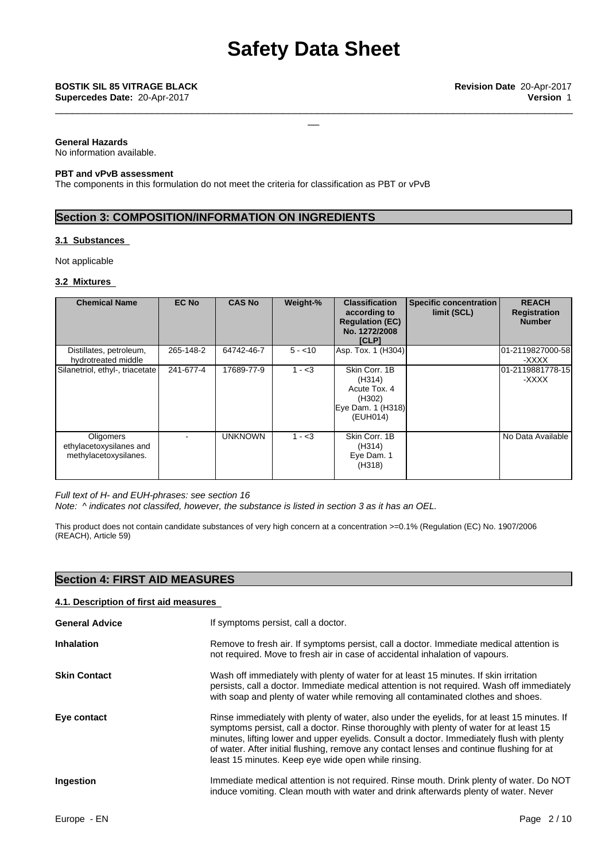\_\_\_\_\_\_\_\_\_\_\_\_\_\_\_\_\_\_\_\_\_\_\_\_\_\_\_\_\_\_\_\_\_\_\_\_\_\_\_\_\_\_\_\_\_\_\_\_\_\_\_\_\_\_\_\_\_\_\_\_\_\_\_\_\_\_\_\_\_\_\_\_\_\_\_\_\_\_\_\_\_\_\_\_\_\_\_\_\_\_\_

#### **General Hazards**

No information available.

#### **PBT and vPvB assessment**

The components in this formulation do not meet the criteria for classification as PBT or vPvB

# **Section 3: COMPOSITION/INFORMATION ON INGREDIENTS**

#### **3.1 Substances**

Not applicable

#### **3.2 Mixtures**

| <b>Chemical Name</b>                                                 | <b>EC No</b> | <b>CAS No</b>  | Weight-%  | <b>Classification</b><br>according to<br><b>Regulation (EC)</b><br>No. 1272/2008<br>[CLP] | Specific concentration<br>limit (SCL) | <b>REACH</b><br>Registration<br><b>Number</b> |
|----------------------------------------------------------------------|--------------|----------------|-----------|-------------------------------------------------------------------------------------------|---------------------------------------|-----------------------------------------------|
| Distillates, petroleum,<br>hydrotreated middle                       | 265-148-2    | 64742-46-7     | $5 - 10$  | Asp. Tox. 1 (H304)                                                                        |                                       | 101-2119827000-581<br>-XXXX                   |
| Silanetriol, ethyl-, triacetate                                      | 241-677-4    | 17689-77-9     | $1 - < 3$ | Skin Corr, 1B<br>(H314)<br>Acute Tox. 4<br>(H302)<br>Eye Dam. 1 (H318)<br>(EUH014)        |                                       | 01-2119881778-15<br>-XXXX                     |
| <b>Oligomers</b><br>ethylacetoxysilanes and<br>methylacetoxysilanes. |              | <b>UNKNOWN</b> | $1 - 3$   | Skin Corr, 1B<br>(H314)<br>Eye Dam. 1<br>(H318)                                           |                                       | No Data Available                             |

*Full text of H- and EUH-phrases: see section 16*

*Note: ^ indicates not classifed, however, the substance islisted in section 3 as it has an OEL.*

This product does not contain candidate substances of very high concern at a concentration >=0.1% (Regulation (EC) No. 1907/2006 (REACH), Article 59)

# **Section 4: FIRST AID MEASURES**

#### **4.1. Description of first aid measures**

| <b>General Advice</b> | If symptoms persist, call a doctor.                                                                                                                                                                                                                                                                                                                                                                                                   |
|-----------------------|---------------------------------------------------------------------------------------------------------------------------------------------------------------------------------------------------------------------------------------------------------------------------------------------------------------------------------------------------------------------------------------------------------------------------------------|
| <b>Inhalation</b>     | Remove to fresh air. If symptoms persist, call a doctor. Immediate medical attention is<br>not required. Move to fresh air in case of accidental inhalation of vapours.                                                                                                                                                                                                                                                               |
| <b>Skin Contact</b>   | Wash off immediately with plenty of water for at least 15 minutes. If skin irritation<br>persists, call a doctor. Immediate medical attention is not required. Wash off immediately<br>with soap and plenty of water while removing all contaminated clothes and shoes.                                                                                                                                                               |
| Eye contact           | Rinse immediately with plenty of water, also under the eyelids, for at least 15 minutes. If<br>symptoms persist, call a doctor. Rinse thoroughly with plenty of water for at least 15<br>minutes, lifting lower and upper eyelids. Consult a doctor. Immediately flush with plenty<br>of water. After initial flushing, remove any contact lenses and continue flushing for at<br>least 15 minutes. Keep eye wide open while rinsing. |
| Ingestion             | Immediate medical attention is not required. Rinse mouth. Drink plenty of water. Do NOT<br>induce vomiting. Clean mouth with water and drink afterwards plenty of water. Never                                                                                                                                                                                                                                                        |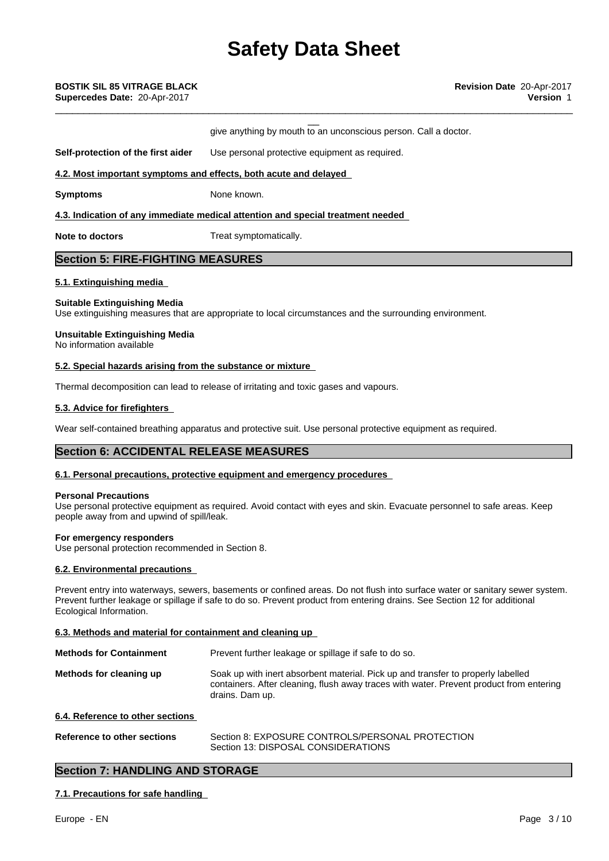give anything by mouth to an unconscious person. Call a doctor.

\_\_\_\_\_\_\_\_\_\_\_\_\_\_\_\_\_\_\_\_\_\_\_\_\_\_\_\_\_\_\_\_\_\_\_\_\_\_\_\_\_\_\_\_\_\_\_\_\_\_\_\_\_\_\_\_\_\_\_\_\_\_\_\_\_\_\_\_\_\_\_\_\_\_\_\_\_\_\_\_\_\_\_\_\_\_\_\_\_\_\_

**Self-protection of the first aider** Use personal protective equipment as required.

#### **4.2. Most important symptoms and effects, both acute and delayed**

**Symptoms** None known.

**4.3. Indication of any immediate medical attention and special treatment needed**

**Note to doctors** Treat symptomatically.

# **Section 5: FIRE-FIGHTING MEASURES**

#### **5.1. Extinguishing media**

#### **Suitable Extinguishing Media**

Use extinguishing measures that are appropriate to local circumstances and the surrounding environment.

#### **Unsuitable Extinguishing Media**

No information available

#### **5.2. Special hazards arising from the substance or mixture**

Thermal decomposition can lead to release of irritating and toxic gases and vapours.

#### **5.3. Advice for firefighters**

Wear self-contained breathing apparatus and protective suit. Use personal protective equipment as required.

# **Section 6: ACCIDENTAL RELEASE MEASURES**

#### **6.1. Personal precautions, protective equipment and emergency procedures**

#### **Personal Precautions**

Use personal protective equipment as required. Avoid contact with eyes and skin. Evacuate personnel to safe areas. Keep people away from and upwind of spill/leak.

#### **For emergency responders**

Use personal protection recommended in Section 8.

#### **6.2. Environmental precautions**

Prevent entry into waterways, sewers, basements or confined areas. Do not flush into surface water or sanitary sewer system. Prevent further leakage or spillage if safe to do so. Prevent product from entering drains. See Section 12 for additional Ecological Information.

#### **6.3. Methods and material for containment and cleaning up**

| <b>Methods for Containment</b> | Prevent further leakage or spillage if safe to do so.                                                                                                                                          |
|--------------------------------|------------------------------------------------------------------------------------------------------------------------------------------------------------------------------------------------|
| Methods for cleaning up        | Soak up with inert absorbent material. Pick up and transfer to properly labelled<br>containers. After cleaning, flush away traces with water. Prevent product from entering<br>drains. Dam up. |

## **6.4. Reference to other sections**

**Reference to other sections** Section 8: EXPOSURE CONTROLS/PERSONAL PROTECTION Section 13: DISPOSAL CONSIDERATIONS

## **Section 7: HANDLING AND STORAGE**

#### **7.1. Precautions for safe handling**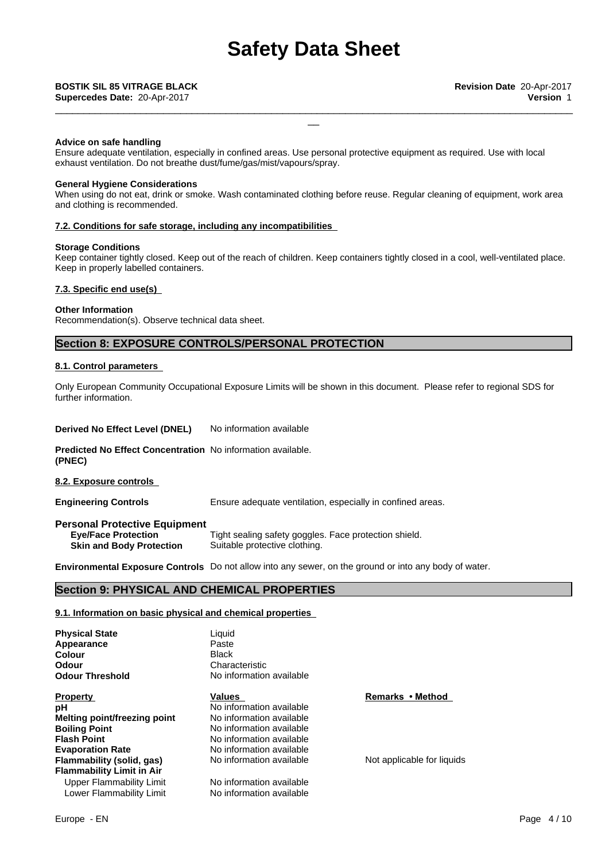\_\_\_\_\_\_\_\_\_\_\_\_\_\_\_\_\_\_\_\_\_\_\_\_\_\_\_\_\_\_\_\_\_\_\_\_\_\_\_\_\_\_\_\_\_\_\_\_\_\_\_\_\_\_\_\_\_\_\_\_\_\_\_\_\_\_\_\_\_\_\_\_\_\_\_\_\_\_\_\_\_\_\_\_\_\_\_\_\_\_\_

#### **Advice on safe handling**

Ensure adequate ventilation, especially in confined areas. Use personal protective equipment as required. Use with local exhaust ventilation. Do not breathe dust/fume/gas/mist/vapours/spray.

#### **General Hygiene Considerations**

When using do not eat, drink or smoke. Wash contaminated clothing before reuse. Regular cleaning of equipment, work area and clothing is recommended.

#### **7.2. Conditions for safe storage, including any incompatibilities**

#### **Storage Conditions**

Keep container tightly closed. Keep out of the reach of children. Keep containers tightly closed in a cool, well-ventilated place. Keep in properly labelled containers.

#### **7.3. Specific end use(s)**

#### **Other Information**

Recommendation(s). Observe technical data sheet.

## **Section 8: EXPOSURE CONTROLS/PERSONAL PROTECTION**

#### **8.1. Control parameters**

Only European Community Occupational Exposure Limits will be shown in this document. Please refer to regional SDS for further information.

**Derived No Effect Level (DNEL)** No information available

**Predicted No Effect Concentration** No information available. **(PNEC)**

**8.2. Exposure controls**

**Engineering Controls** Ensure adequate ventilation, especially in confined areas.

**Personal Protective Equipment Eye/Face Protection** Tight sealing safety goggles. Face protection shield. **Skin and Body Protection** Suitable protective clothing.

**Environmental Exposure Controls** Do not allow into any sewer, on the ground or into any body of water.

## **Section 9: PHYSICAL AND CHEMICAL PROPERTIES**

#### **9.1. Information on basic physical and chemical properties**

**Physical State Liquid**<br> **Appearance Liquid** Paste **Appearance** Paste<br> **Colour** Black **Odour Characteristic Characteristic Codour Threshold Characteristic Characteristic Characteristic Characteristic** 

**Property Construction Constraint Values According Property Remarks • Method pH** No information available<br> **Melting point/freezing point** No information available **Melting point/freezing point Boiling Point** No information available **Flash Point** No information available **Evaporation Rate** No information available **Flammability (solid, gas)** No information available Not applicable for liquids **Flammability Limit in Air** Upper Flammability Limit No information available<br>
Lower Flammability Limit No information available Lower Flammability Limit

**Colour Black** Black **No information available**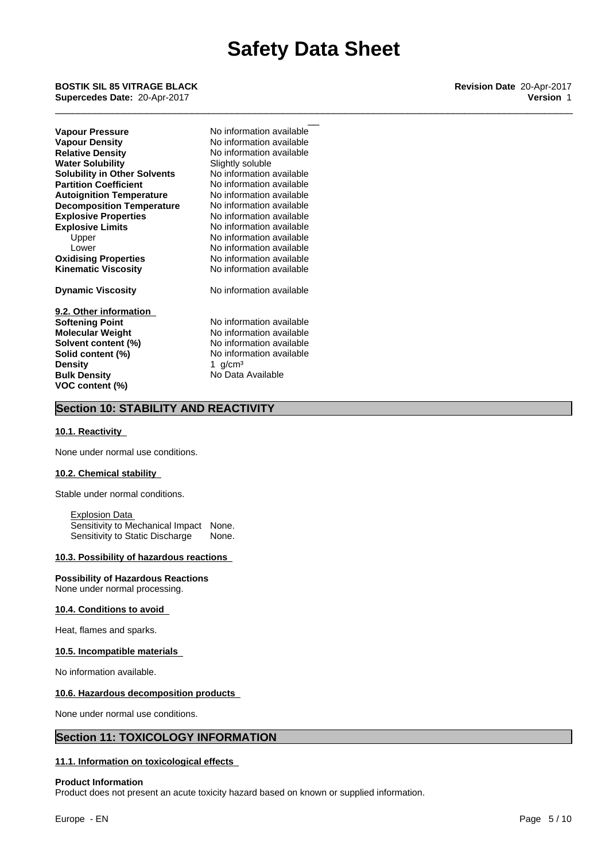\_\_\_\_\_\_\_\_\_\_\_\_\_\_\_\_\_\_\_\_\_\_\_\_\_\_\_\_\_\_\_\_\_\_\_\_\_\_\_\_\_\_\_\_\_\_\_\_\_\_\_\_\_\_\_\_\_\_\_\_\_\_\_\_\_\_\_\_\_\_\_\_\_\_\_\_\_\_\_\_\_\_\_\_\_\_\_\_\_\_\_

\_\_ **BOSTIK SIL <sup>85</sup> VITRAGE BLACK Revision Date** 20-Apr-2017 **Supercedes Date:** 20-Apr-2017 **Version** 1

| Vapour Pressure                     |  |
|-------------------------------------|--|
| <b>Vapour Density</b>               |  |
| <b>Relative Density</b>             |  |
| <b>Water Solubility</b>             |  |
| <b>Solubility in Other Solvents</b> |  |
| <b>Partition Coefficient</b>        |  |
| <b>Autoignition Temperature</b>     |  |
| <b>Decomposition Temperature</b>    |  |
| <b>Explosive Properties</b>         |  |
| <b>Explosive Limits</b>             |  |
| Upper                               |  |
| Lower                               |  |
| <b>Oxidising Properties</b>         |  |
| <b>Kinematic Viscosity</b>          |  |
| <b>Dynamic Viscosity</b>            |  |
|                                     |  |

**9.2. Other information Softening Point** No information available **Molecular Weight** No information available **Solvent content (%)**<br> **Solid content (%)**<br>
No information available **Density Bulk Density** No Data Available **VOC content (%)**

**Explosive Properties** No information available **Explosive Limits** No information available No information available No information available **Oxidising Properties** No information available No information available<br>1 g/cm<sup>3</sup> **No information available No information available Relative Density** No information available **Slightly soluble Solubility in Other Solvents** No information available **No information available No information available Decomposition Temperature** No information available **Kinematic Viscosity** No information available **Dynamic Viscosity** No information available

# **Section 10: STABILITY AND REACTIVITY**

#### **10.1. Reactivity**

None under normal use conditions.

#### **10.2. Chemical stability**

Stable under normal conditions.

Explosion Data Sensitivity to Mechanical Impact None. Sensitivity to Static Discharge None.

#### **10.3. Possibility of hazardous reactions**

#### **Possibility of Hazardous Reactions**

None under normal processing.

#### **10.4. Conditions to avoid**

Heat, flames and sparks.

#### **10.5. Incompatible materials**

No information available.

#### **10.6. Hazardous decomposition products**

None under normal use conditions.

## **Section 11: TOXICOLOGY INFORMATION**

## **11.1. Information on toxicological effects**

#### **Product Information**

Product does not present an acute toxicity hazard based on known or supplied information.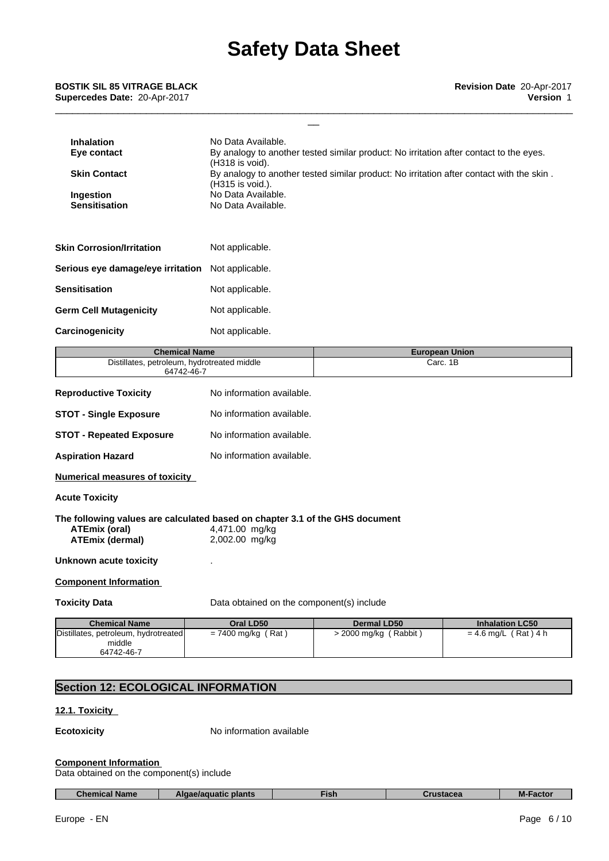\_\_\_\_\_\_\_\_\_\_\_\_\_\_\_\_\_\_\_\_\_\_\_\_\_\_\_\_\_\_\_\_\_\_\_\_\_\_\_\_\_\_\_\_\_\_\_\_\_\_\_\_\_\_\_\_\_\_\_\_\_\_\_\_\_\_\_\_\_\_\_\_\_\_\_\_\_\_\_\_\_\_\_\_\_\_\_\_\_\_\_

| <b>Inhalation</b><br>Eye contact<br><b>Skin Contact</b><br>Ingestion<br><b>Sensitisation</b>                                   | No Data Available.<br>By analogy to another tested similar product: No irritation after contact to the eyes.<br>(H318 is void).<br>By analogy to another tested similar product: No irritation after contact with the skin.<br>(H315 is void.).<br>No Data Available.<br>No Data Available. |                    |                                   |  |  |
|--------------------------------------------------------------------------------------------------------------------------------|---------------------------------------------------------------------------------------------------------------------------------------------------------------------------------------------------------------------------------------------------------------------------------------------|--------------------|-----------------------------------|--|--|
| <b>Skin Corrosion/Irritation</b>                                                                                               | Not applicable.                                                                                                                                                                                                                                                                             |                    |                                   |  |  |
| Serious eye damage/eye irritation                                                                                              | Not applicable.                                                                                                                                                                                                                                                                             |                    |                                   |  |  |
| Sensitisation                                                                                                                  | Not applicable.                                                                                                                                                                                                                                                                             |                    |                                   |  |  |
| Germ Cell Mutagenicity                                                                                                         | Not applicable.                                                                                                                                                                                                                                                                             |                    |                                   |  |  |
| Carcinogenicity                                                                                                                | Not applicable.                                                                                                                                                                                                                                                                             |                    |                                   |  |  |
| <b>Chemical Name</b><br>Distillates, petroleum, hydrotreated middle                                                            |                                                                                                                                                                                                                                                                                             |                    | <b>European Union</b><br>Carc. 1B |  |  |
| 64742-46-7                                                                                                                     |                                                                                                                                                                                                                                                                                             |                    |                                   |  |  |
| <b>Reproductive Toxicity</b>                                                                                                   | No information available.                                                                                                                                                                                                                                                                   |                    |                                   |  |  |
| <b>STOT - Single Exposure</b>                                                                                                  | No information available.                                                                                                                                                                                                                                                                   |                    |                                   |  |  |
| <b>STOT - Repeated Exposure</b>                                                                                                | No information available.                                                                                                                                                                                                                                                                   |                    |                                   |  |  |
| <b>Aspiration Hazard</b>                                                                                                       | No information available.                                                                                                                                                                                                                                                                   |                    |                                   |  |  |
| <b>Numerical measures of toxicity</b>                                                                                          |                                                                                                                                                                                                                                                                                             |                    |                                   |  |  |
| Acute Toxicity                                                                                                                 |                                                                                                                                                                                                                                                                                             |                    |                                   |  |  |
| The following values are calculated based on chapter 3.1 of the GHS document<br><b>ATEmix (oral)</b><br><b>ATEmix (dermal)</b> | 4,471.00 mg/kg<br>2,002.00 mg/kg                                                                                                                                                                                                                                                            |                    |                                   |  |  |
| Unknown acute toxicity                                                                                                         |                                                                                                                                                                                                                                                                                             |                    |                                   |  |  |
| <b>Component Information</b>                                                                                                   |                                                                                                                                                                                                                                                                                             |                    |                                   |  |  |
| <b>Toxicity Data</b>                                                                                                           | Data obtained on the component(s) include                                                                                                                                                                                                                                                   |                    |                                   |  |  |
|                                                                                                                                |                                                                                                                                                                                                                                                                                             |                    |                                   |  |  |
| <b>Chemical Name</b>                                                                                                           | Oral LD50                                                                                                                                                                                                                                                                                   | <b>Dermal LD50</b> | <b>Inhalation LC50</b>            |  |  |

# **Section 12: ECOLOGICAL INFORMATION**

## **12.1. Toxicity**

**Ecotoxicity** No information available

#### **Component Information**

Data obtained on the component(s) include

| <b>Chemical Name</b> | plants<br>e/aquatic<br>ΔИ | ¶ish | THETROS<br>ылыға | Factor<br>м. |  |
|----------------------|---------------------------|------|------------------|--------------|--|
|----------------------|---------------------------|------|------------------|--------------|--|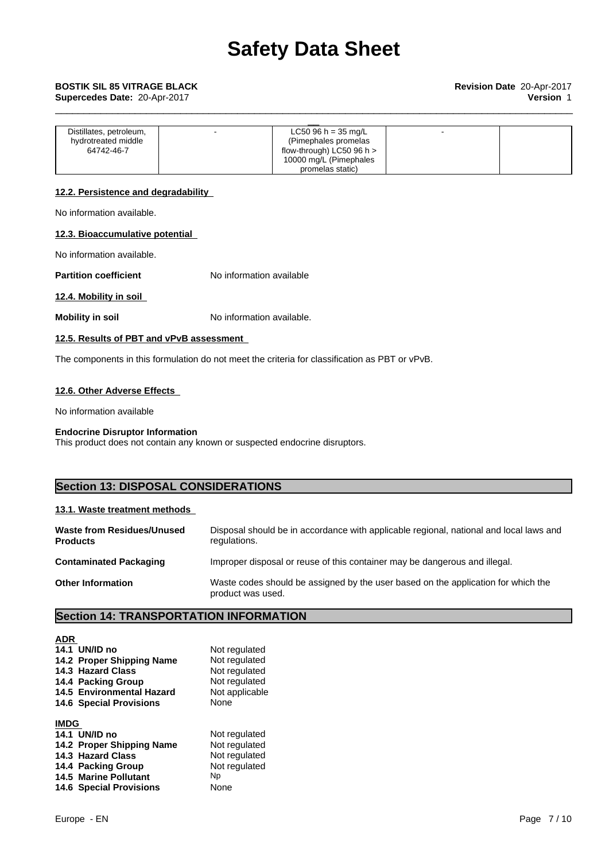| Distillates, petroleum, | LC50 96 h = 35 mg/L         |  |
|-------------------------|-----------------------------|--|
| hydrotreated middle     | (Pimephales promelas)       |  |
| 64742-46-7              | flow-through) LC50 96 h $>$ |  |
|                         | 10000 mg/L (Pimephales      |  |
|                         | promelas static)            |  |

\_\_\_\_\_\_\_\_\_\_\_\_\_\_\_\_\_\_\_\_\_\_\_\_\_\_\_\_\_\_\_\_\_\_\_\_\_\_\_\_\_\_\_\_\_\_\_\_\_\_\_\_\_\_\_\_\_\_\_\_\_\_\_\_\_\_\_\_\_\_\_\_\_\_\_\_\_\_\_\_\_\_\_\_\_\_\_\_\_\_\_

## **12.2. Persistence and degradability**

No information available.

#### **12.3. Bioaccumulative potential**

No information available.

**Partition coefficient** No information available

## **12.4. Mobility in soil**

**Mobility in soil** No information available.

## **12.5. Results of PBT and vPvB assessment**

The components in this formulation do not meet the criteria for classification as PBT or vPvB.

## **12.6. Other Adverse Effects**

No information available

#### **Endocrine Disruptor Information**

This product does not contain any known or suspected endocrine disruptors.

# **Section 13: DISPOSAL CONSIDERATIONS**

#### **13.1. Waste treatment methods**

| <b>Waste from Residues/Unused</b><br><b>Products</b> | Disposal should be in accordance with applicable regional, national and local laws and<br>regulations. |
|------------------------------------------------------|--------------------------------------------------------------------------------------------------------|
| <b>Contaminated Packaging</b>                        | Improper disposal or reuse of this container may be dangerous and illegal.                             |
| <b>Other Information</b>                             | Waste codes should be assigned by the user based on the application for which the<br>product was used. |

# **Section 14: TRANSPORTATION INFORMATION**

| <b>ADR</b>  |                                |                |
|-------------|--------------------------------|----------------|
|             | 14.1 UN/ID no                  | Not regulated  |
|             | 14.2 Proper Shipping Name      | Not regulated  |
|             | 14.3 Hazard Class              | Not regulated  |
|             | 14.4 Packing Group             | Not regulated  |
|             | 14.5 Environmental Hazard      | Not applicable |
|             | <b>14.6 Special Provisions</b> | None           |
| <b>IMDG</b> |                                |                |
|             | 14.1 UN/ID no                  | Not regulated  |
|             | 14.2 Proper Shipping Name      | Not regulated  |
|             | 14.3 Hazard Class              | Not regulated  |
|             | 14.4 Packing Group             | Not regulated  |
|             | <b>14.5 Marine Pollutant</b>   | Np             |
|             | <b>14.6 Special Provisions</b> | None           |
|             |                                |                |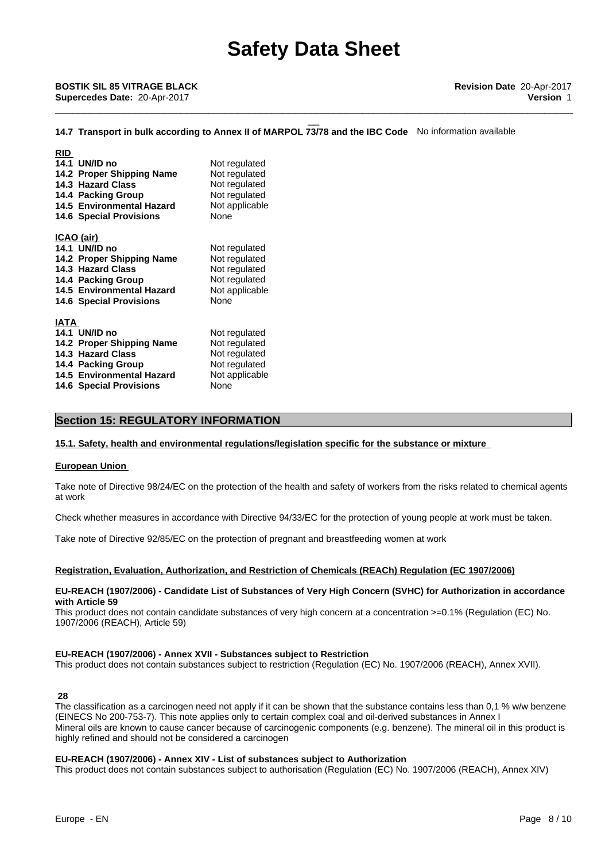\_\_\_\_\_\_\_\_\_\_\_\_\_\_\_\_\_\_\_\_\_\_\_\_\_\_\_\_\_\_\_\_\_\_\_\_\_\_\_\_\_\_\_\_\_\_\_\_\_\_\_\_\_\_\_\_\_\_\_\_\_\_\_\_\_\_\_\_\_\_\_\_\_\_\_\_\_\_\_\_\_\_\_\_\_\_\_\_\_\_\_

# \_\_ **BOSTIK SIL <sup>85</sup> VITRAGE BLACK Revision Date** 20-Apr-2017 **Supercedes Date:** 20-Apr-2017 **Version** 1

#### **14.7 Transport in bulk according to Annex II of MARPOL 73/78 and the IBC Code** No information available

| <b>RID</b>                       |                |  |
|----------------------------------|----------------|--|
| 14.1 UN/ID no                    | Not regulated  |  |
| 14.2 Proper Shipping Name        | Not regulated  |  |
| 14.3 Hazard Class                | Not regulated  |  |
| 14.4 Packing Group               | Not regulated  |  |
| 14.5 Environmental Hazard        | Not applicable |  |
| <b>14.6 Special Provisions</b>   | None           |  |
|                                  |                |  |
| ICAO (air)                       |                |  |
| 14.1 UN/ID no                    | Not regulated  |  |
| 14.2 Proper Shipping Name        | Not regulated  |  |
| 14.3 Hazard Class                | Not regulated  |  |
| 14.4 Packing Group               | Not regulated  |  |
| 14.5 Environmental Hazard        | Not applicable |  |
| <b>14.6 Special Provisions</b>   | None           |  |
| <b>IATA</b>                      |                |  |
|                                  |                |  |
| 14.1 UN/ID no                    | Not regulated  |  |
| 14.2 Proper Shipping Name        | Not regulated  |  |
| 14.3 Hazard Class                | Not regulated  |  |
| 14.4 Packing Group               | Not regulated  |  |
| <b>14.5 Environmental Hazard</b> | Not applicable |  |
| <b>14.6 Special Provisions</b>   | None           |  |

## **Section 15: REGULATORY INFORMATION**

#### **15.1. Safety, health and environmental regulations/legislation specific for the substance or mixture**

#### **European Union**

Take note of Directive 98/24/EC on the protection of the health and safety of workers from the risks related to chemical agents at work

Check whether measures in accordance with Directive 94/33/EC for the protection of young people at work must be taken.

Take note of Directive 92/85/EC on the protection of pregnant and breastfeeding women at work

#### **Registration, Evaluation, Authorization, and Restriction of Chemicals (REACh) Regulation (EC 1907/2006)**

#### **EU-REACH (1907/2006) - Candidate List of Substances of Very High Concern (SVHC) for Authorization in accordance with Article 59**

This product does not contain candidate substances of very high concern at a concentration >=0.1% (Regulation (EC) No. 1907/2006 (REACH), Article 59)

#### **EU-REACH (1907/2006) - Annex XVII - Substances subject to Restriction**

This product does not contain substances subject to restriction (Regulation (EC) No. 1907/2006 (REACH), Annex XVII).

#### **28**

The classification as a carcinogen need not apply if it can be shown that the substance contains less than 0,1 % w/w benzene (EINECS No 200-753-7). This note applies only to certain complex coal and oil-derived substances in Annex I Mineral oils are known to cause cancer because of carcinogenic components (e.g. benzene). The mineral oil in this product is highly refined and should not be considered a carcinogen

#### **EU-REACH (1907/2006) - Annex XIV - List of substances subject to Authorization**

This product does not contain substances subject to authorisation (Regulation (EC) No. 1907/2006 (REACH), Annex XIV)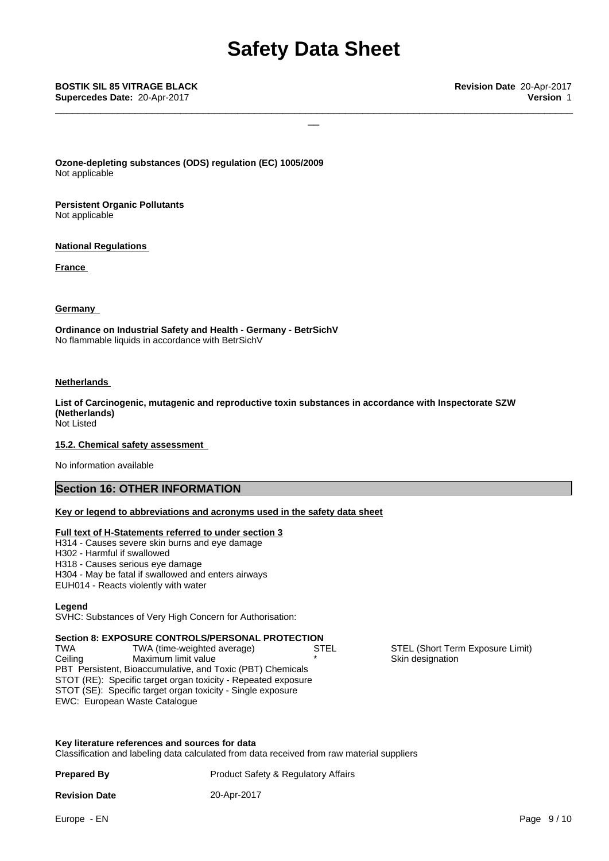\_\_\_\_\_\_\_\_\_\_\_\_\_\_\_\_\_\_\_\_\_\_\_\_\_\_\_\_\_\_\_\_\_\_\_\_\_\_\_\_\_\_\_\_\_\_\_\_\_\_\_\_\_\_\_\_\_\_\_\_\_\_\_\_\_\_\_\_\_\_\_\_\_\_\_\_\_\_\_\_\_\_\_\_\_\_\_\_\_\_\_

\_\_ **BOSTIK SIL <sup>85</sup> VITRAGE BLACK Revision Date** 20-Apr-2017 **Supercedes Date:** 20-Apr-2017 **Version** 1

**Ozone-depleting substances (ODS) regulation (EC) 1005/2009** Not applicable

**Persistent Organic Pollutants** Not applicable

**National Regulations**

**France** 

#### **Germany**

**Ordinance on Industrial Safety and Health - Germany - BetrSichV** No flammable liquids in accordance with BetrSichV

#### **Netherlands**

**List of Carcinogenic, mutagenic and reproductive toxin substances in accordance with Inspectorate SZW (Netherlands)** Not Listed

#### **15.2. Chemical safety assessment**

No information available

# **Section 16: OTHER INFORMATION**

#### **Key or legend to abbreviations and acronyms used in the safety data sheet**

#### **Full text of H-Statements referred to under section 3**

- H314 Causes severe skin burns and eye damage
- H302 Harmful if swallowed
- H318 Causes serious eye damage
- H304 May be fatal if swallowed and enters airways
- EUH014 Reacts violently with water

#### **Legend**

SVHC: Substances of Very High Concern for Authorisation:

#### **Section 8: EXPOSURE CONTROLS/PERSONAL PROTECTION**

PBT Persistent, Bioaccumulative, and Toxic (PBT) Chemicals STOT (RE): Specific target organ toxicity - Repeated exposure STOT (SE): Specific target organ toxicity - Single exposure EWC: European Waste Catalogue TWA TWA (time-weighted average) STEL STEL STEL (Short Term Exposure Limit) Ceiling Maximum limit value

**Key literature references and sources for data**

Classification and labeling data calculated from data received from raw material suppliers

**Prepared By** Product Safety & Regulatory Affairs

**Revision Date** 20-Apr-2017

Skin designation